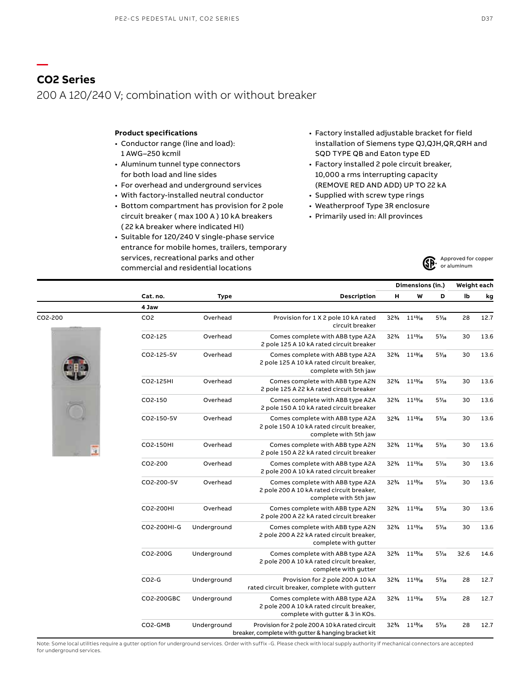#### **Product specifications**

- Conductor range (line and load): 1 AWG–250 kcmil
- Aluminum tunnel type connectors for both load and line sides
- For overhead and underground services
- With factory-installed neutral conductor
- Bottom compartment has provision for 2 pole circuit breaker ( max 100 A ) 10 kA breakers ( 22 kA breaker where indicated HI)
- Suitable for 120/240 V single-phase service entrance for mobile homes, trailers, temporary services, recreational parks and other commercial and residential locations
- Factory installed adjustable bracket for field installation of Siemens type QJ,QJH,QR,QRH and SQD TYPE QB and Eaton type ED
- Factory installed 2 pole circuit breaker, 10,000 a rms interrupting capacity (REMOVE RED AND ADD) UP TO 22 kA
- Supplied with screw type rings
- Weatherproof Type 3R enclosure
- Primarily used in: All provinces



|         |                 | <b>Type</b> |                                                                                                                   | Dimensions (in.) |                                      |       | Weight each |      |  |
|---------|-----------------|-------------|-------------------------------------------------------------------------------------------------------------------|------------------|--------------------------------------|-------|-------------|------|--|
|         | Cat. no.        |             | Description                                                                                                       | н                | W                                    | D     | lb          | kg   |  |
|         | 4 Jaw           |             |                                                                                                                   |                  |                                      |       |             |      |  |
| CO2-200 | CO <sub>2</sub> | Overhead    | Provision for 1 X 2 pole 10 kA rated<br>circuit breaker                                                           |                  | 32% 11 <sup>13</sup> / <sub>16</sub> | $5\%$ | 28          | 12.7 |  |
|         | CO2-125         | Overhead    | Comes complete with ABB type A2A<br>2 pole 125 A 10 kA rated circuit breaker                                      | $32\%$           | $11^{17}/16$                         | $5\%$ | 30          | 13.6 |  |
|         | CO2-125-5V      | Overhead    | Comes complete with ABB type A2A<br>2 pole 125 A 10 kA rated circuit breaker,<br>complete with 5th jaw            |                  | 32% 11 <sup>13</sup> /16             | $5\%$ | 30          | 13.6 |  |
|         | CO2-125HI       | Overhead    | Comes complete with ABB type A2N<br>2 pole 125 A 22 kA rated circuit breaker                                      |                  | 323/4 1143/16                        | $5\%$ | 30          | 13.6 |  |
|         | CO2-150         | Overhead    | Comes complete with ABB type A2A<br>2 pole 150 A 10 kA rated circuit breaker                                      | 32%              | $11^{13}\!/_{16}$                    | $5\%$ | 30          | 13.6 |  |
|         | CO2-150-5V      | Overhead    | Comes complete with ABB type A2A<br>2 pole 150 A 10 kA rated circuit breaker,<br>complete with 5th jaw            |                  | 32% 11 <sup>13</sup> /16             | $5\%$ | 30          | 13.6 |  |
|         | CO2-150HI       | Overhead    | Comes complete with ABB type A2N<br>2 pole 150 A 22 kA rated circuit breaker                                      | 32%              | $11^{13}/16$                         | $5\%$ | 30          | 13.6 |  |
|         | CO2-200         | Overhead    | Comes complete with ABB type A2A<br>2 pole 200 A 10 kA rated circuit breaker                                      | 32%              | $11^{13}/16$                         | $5\%$ | 30          | 13.6 |  |
|         | CO2-200-5V      | Overhead    | Comes complete with ABB type A2A<br>2 pole 200 A 10 kA rated circuit breaker,<br>complete with 5th jaw            | 32%              | $11^{13}/16$                         | $5\%$ | 30          | 13.6 |  |
|         | CO2-200HI       | Overhead    | Comes complete with ABB type A2N<br>2 pole 200 A 22 kA rated circuit breaker                                      |                  | 32% 111%                             | $5\%$ | 30          | 13.6 |  |
|         | CO2-200HI-G     | Underground | Comes complete with ABB type A2N<br>2 pole 200 A 22 kA rated circuit breaker,<br>complete with gutter             |                  | 32% 11 <sup>13</sup> /16             | $5\%$ | 30          | 13.6 |  |
|         | CO2-200G        | Underground | Comes complete with ABB type A2A<br>2 pole 200 A 10 kA rated circuit breaker,<br>complete with gutter             |                  | 323/4 1143/16                        | $5\%$ | 32.6        | 14.6 |  |
|         | $CO2-G$         | Underground | Provision for 2 pole 200 A 10 kA<br>rated circuit breaker, complete with gutterr                                  | 32%              | $11^{13}/16$                         | $5\%$ | 28          | 12.7 |  |
|         | CO2-200GBC      | Underground | Comes complete with ABB type A2A<br>2 pole 200 A 10 kA rated circuit breaker,<br>complete with gutter & 3 in KOs. |                  | 32% 11 <sup>13</sup> /16             | $5\%$ | 28          | 12.7 |  |
|         | CO2-GMB         | Underground | Provision for 2 pole 200 A 10 kA rated circuit<br>breaker, complete with gutter & hanging bracket kit             |                  | 32% 11 <sup>13</sup> /16             | $5\%$ | 28          | 12.7 |  |



**—**

Note: Some local utilities require a gutter option for underground services. Order with suffix -G. Please check with local supply authority if mechanical connectors are accepted for underground services.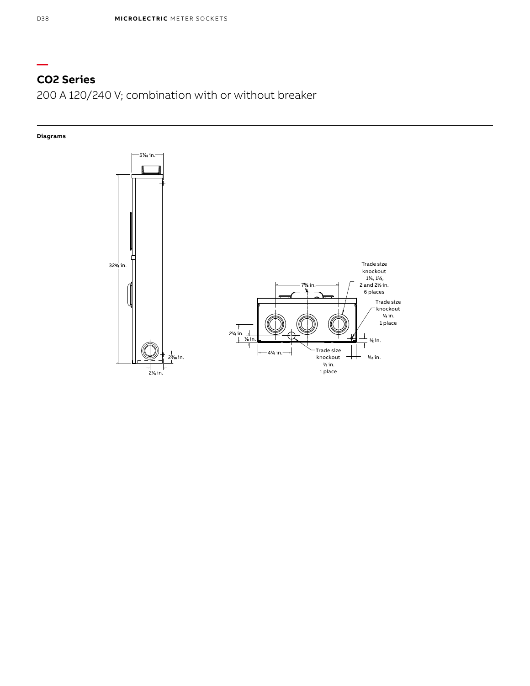# **CO2 Series**

200 A 120/240 V; combination with or without breaker

### **Diagrams**



**—**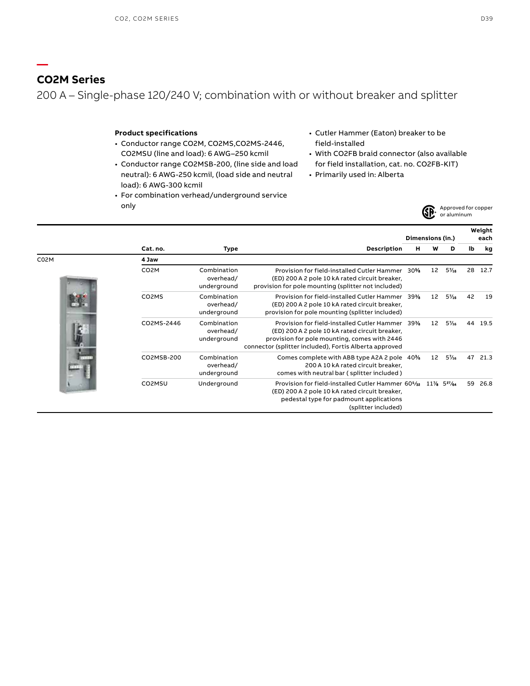### **CO2M Series**

**—**

200 A – Single-phase 120/240 V; combination with or without breaker and splitter

### **Product specifications**

- Conductor range CO2M, CO2MS,CO2MS-2446, CO2MSU (line and load): 6 AWG–250 kcmil
- Conductor range CO2MSB-200, (line side and load neutral): 6 AWG-250 kcmil, (load side and neutral load): 6 AWG-300 kcmil
- For combination verhead/underground service only
- Cutler Hammer (Eaton) breaker to be field-installed
- With CO2FB braid connector (also available for field installation, cat. no. CO2FB-KIT)
- Primarily used in: Alberta



**Weight** 

|      |                    |                                         | Dimensions (in.)                                                                                                                                                                                            |     |    |                            |    | each |  |
|------|--------------------|-----------------------------------------|-------------------------------------------------------------------------------------------------------------------------------------------------------------------------------------------------------------|-----|----|----------------------------|----|------|--|
|      | Cat. no.           | Type                                    | Description                                                                                                                                                                                                 | н   | w  | D                          | lb | kg   |  |
| C02M | 4 Jaw              |                                         |                                                                                                                                                                                                             |     |    |                            |    |      |  |
|      | CO <sub>2</sub> M  | Combination<br>overhead/<br>underground | Provision for field-installed Cutler Hammer<br>(ED) 200 A 2 pole 10 kA rated circuit breaker,<br>provision for pole mounting (splitter not included)                                                        | 30% | 12 | $5\%$                      | 28 | 12.7 |  |
|      | CO <sub>2</sub> MS | Combination<br>overhead/<br>underground | Provision for field-installed Cutler Hammer<br>(ED) 200 A 2 pole 10 kA rated circuit breaker,<br>provision for pole mounting (splitter included)                                                            | 39% | 12 | $5\%$                      | 42 | 19   |  |
|      | CO2MS-2446         | Combination<br>overhead/<br>underground | Provision for field-installed Cutler Hammer 39%<br>(ED) 200 A 2 pole 10 kA rated circuit breaker,<br>provision for pole mounting, comes with 2446<br>connector (splitter included), Fortis Alberta approved |     | 12 | $5\%$                      | 44 | 19.5 |  |
|      | CO2MSB-200         | Combination<br>overhead/<br>underground | Comes complete with ABB type A2A 2 pole 40%<br>200 A 10 kA rated circuit breaker.<br>comes with neutral bar (splitter included)                                                                             |     | 12 | $5\%$                      | 47 | 21.3 |  |
|      | CO2MSU             | Underground                             | Provision for field-installed Cutler Hammer 60 <sup>5</sup> /32<br>(ED) 200 A 2 pole 10 kA rated circuit breaker,<br>pedestal type for padmount applications<br>(splitter included)                         |     |    | $11\%$ 5 <sup>27</sup> /64 | 59 | 26.8 |  |